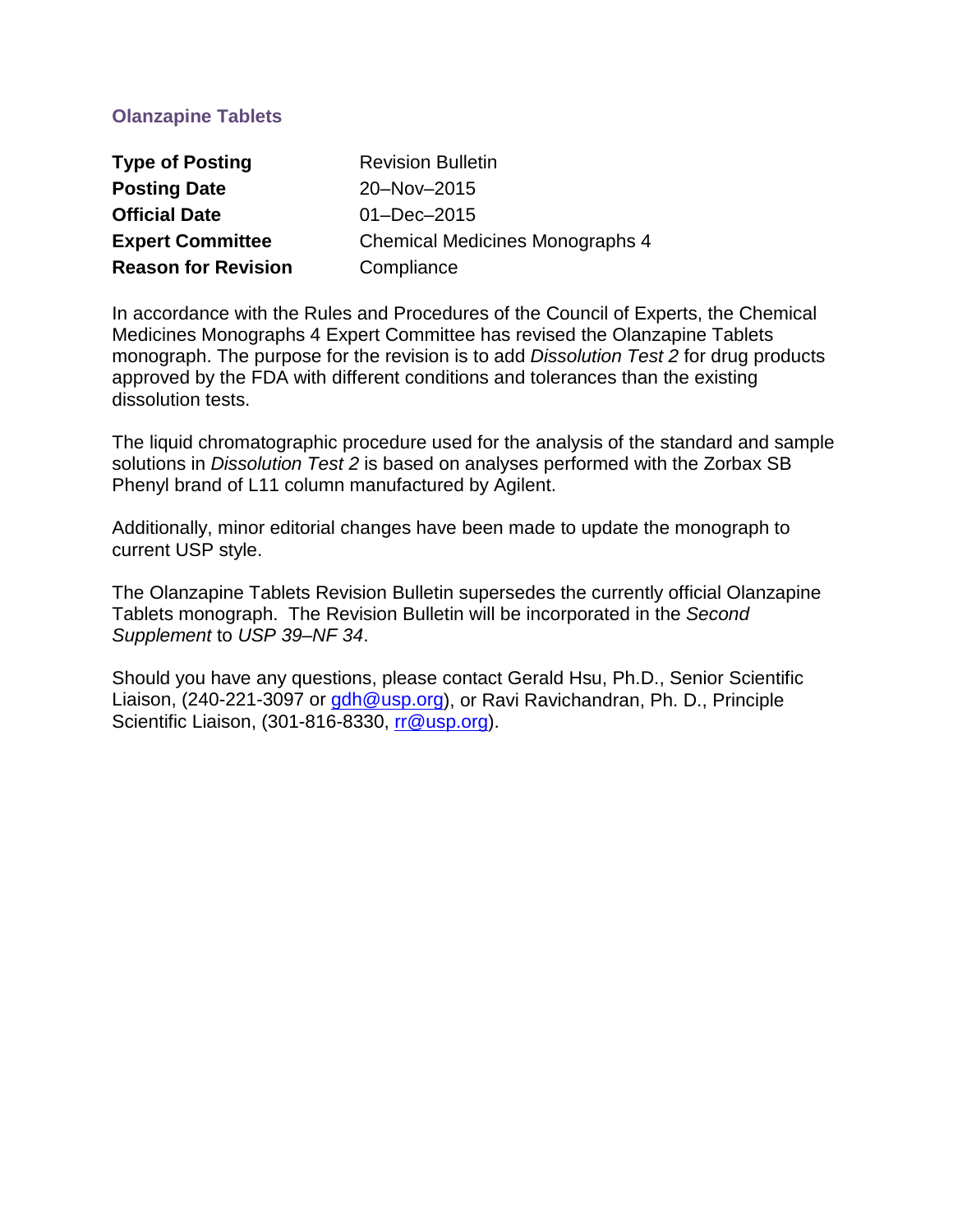# **Olanzapine Tablets**

| <b>Type of Posting</b>     | <b>Revision Bulletin</b>               |
|----------------------------|----------------------------------------|
| <b>Posting Date</b>        | 20-Nov-2015                            |
| <b>Official Date</b>       | $01 - Dec - 2015$                      |
| <b>Expert Committee</b>    | <b>Chemical Medicines Monographs 4</b> |
| <b>Reason for Revision</b> | Compliance                             |

In accordance with the Rules and Procedures of the Council of Experts, the Chemical Medicines Monographs 4 Expert Committee has revised the Olanzapine Tablets monograph. The purpose for the revision is to add *Dissolution Test 2* for drug products approved by the FDA with different conditions and tolerances than the existing dissolution tests.

The liquid chromatographic procedure used for the analysis of the standard and sample solutions in *Dissolution Test 2* is based on analyses performed with the Zorbax SB Phenyl brand of L11 column manufactured by Agilent.

Additionally, minor editorial changes have been made to update the monograph to current USP style.

The Olanzapine Tablets Revision Bulletin supersedes the currently official Olanzapine Tablets monograph. The Revision Bulletin will be incorporated in the *Second Supplement* to *USP 39–NF 34*.

Should you have any questions, please contact Gerald Hsu, Ph.D., Senior Scientific Liaison, (240-221-3097 or [gdh@usp.org\)](mailto:gdh@usp.org), or Ravi Ravichandran, Ph. D., Principle Scientific Liaison, (301-816-8330, [rr@usp.org\)](mailto:rr@usp.org).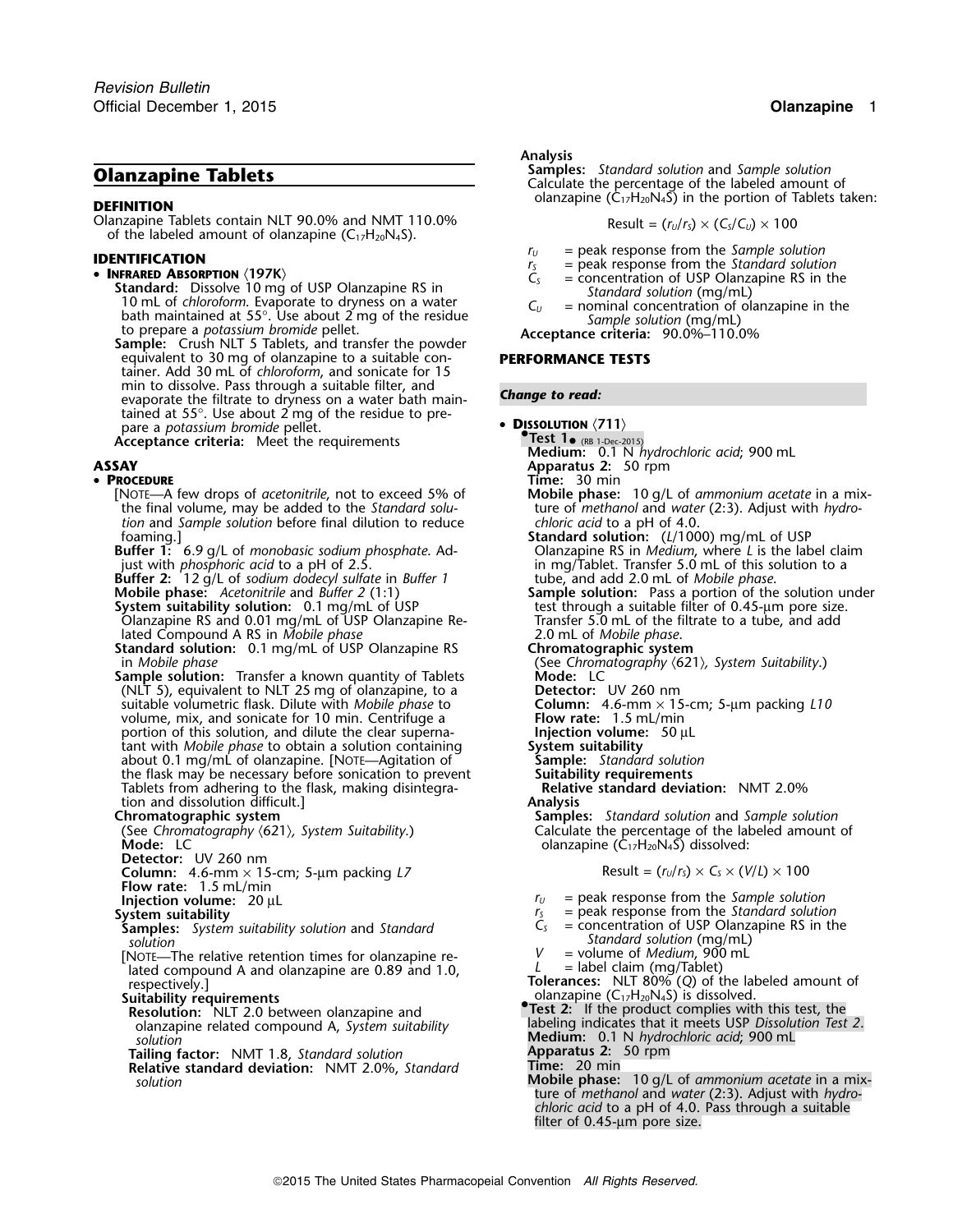Olanzapine Tablets contain NLT 90.0% and NMT 110.0% of the labeled amount of olanzapine  $(C_{17}H_{20}N_4S)$ .

• INFRARED ABSORPTION  $\langle 197K \rangle$ <br>
Standard: Dissolve 10 mg of USP Olanzapine RS in<br>
10 mL of chloroform. Evaporate to dryness on a water<br>
bath maintained at 55°. Use about 2 mg of the residue<br>
to prepare a potassium brom equivalent to 30 mg of olanzapine to a suitable con- **PERFORMANCE TESTS** tainer. Add 30 mL of *chloroform*, and sonicate for 15 min to dissolve. Pass through a suitable filter, and **Change to read:** evaporate the filtrate to dryness on a water bath maintained at 55°. Use about 2 mg of the residue to prepare a *potassium bromide* • **<sup>D</sup>ISSOLUTION** 〈**711**〉 pellet.

**Acceptance criteria:** Meet the requirements

### •

[NOTE—A few drops of *acetonitrile*, not to exceed 5% of the final volume, may be added to the *Standard solution* and *Sample solution* before final dilution to reduce *foaming.*]

**Buffer 2:** 12 g/L of *sodium dodecyl sulfate* in *Buffer 1* tube, and add 2.0 mL of *Mobile phase*.

**System suitability solution:** 0.1 mg/mL of USP test through a suitable filter of 0.45-µm pore size. Olanzapine RS and 0.01 mg/mL of USP Olanzapine Re- Transfer 5.0 mL of the filtrate to a tube, and add

lated Compound A RS in *Mobile phase* 2.0 mL of *Mobile phase*. **Standard solution:** 0.1 mg/mL of USP Olanzapine RS

in *Mobile phase*<br> **See Chromatography**  $\langle 621 \rangle$ **, System Suitability.)**<br> **Sample solution:** Transfer a known quantity of Tablets **Mode:** LC **Sample solution:** Transfer a known quantity of Tablets **Mode:** LC (NLT 5), equivalent to NLT 25 mg of olanzapine, to a **Detector:** UV 260 nm suitable volumetric flask. Dilute with *Mobile phase* to **Column:** 4.6-mm × 15-cm; 5-µm packing *L10* volume, mix, and sonicate for 10 min. Centrifuge a **Flow rate:** 1.5 mL/min portion of this solution, and dilute the clear superna- **Figure 1.5 mL/min** portion of this solution, and dilute the clear supernaportion of this solution, and dilute the clear superna-<br>
tant with *Mobile phase* to obtain a solution containing **5ystem suitability** tant with *Mobile phase* to obtain a solution containing **System suitability** about 0.1 mg/mL of olanzapine. [NOTE-Agitation of the flask may be necessary before sonication to prevent **Suitability requirements**<br>
Tablets from adhering to the flask, making disintegra-**Relative standard deviation:** NMT 2.0% Tablets from adhering to the flask, making disintegration and dissolution difficult.] **Analysis**

**Detector:** UV 260 nm

**Column:**  $4.6$ -mm  $\times$  15-cm;  $5$ -µm packing *L7* Result =  $(r<sub>u</sub>/r<sub>s</sub>) \times C<sub>s</sub> \times (V/L) \times 100$ 

- 
- **Flow rate:** 1.5 mL/min<br>**Injection volume:** 20 µL

**Samples:** System suitability solution and Standard

- *Standard solution*<br>
Solution Solution Standard solution (mg/mL)<br>
NOTE—The relative retention times for olanzapine re-<br>
lated compound A and olanzapine are 0.89 and 1.0,  $L =$  label claim (mg/Tablet) [NOTE—The relative retention times for olanzapine re-<br>*Iated compound A and olanzapine are 0.89 and 1.0*, lated compound A and olanzapine are 0.89 and 1.0, *Lateral abel claim (mg/Tablet)*<br>**Tolerances:** NLT 80% (*Q*) of the labeled amount of **respectively.]**
- 
- olanzapine related compound A, *System suitability* solution<br> **Solution**<br> **ailing factor:** NMT 1.8, Standard solution<br> **Apparatus 2:** 50 rpm<br> **Relative standard deviation:** NMT 2.0% Standard **Time:** 20 min
- **Tailing factor:** NMT 1.8, *Standard solution*
- **Relative standard deviation: NMT 2.0%, Standard**

### *.* **Analysis**

**Clanzapine Tablets Samples:** *Samples: Standard solution* and *Sample solution*<br>Calculate the percentage of the labeled amount of **OLATA** olanzapine  $(\mathsf{C}_{17}\mathsf{H}_{20}\mathsf{N}_4\mathsf{S})$  in the portion of Tablets taken:

$$
Result = (r_U/r_S) \times (C_S/C_U) \times 100
$$

- 
- **IDENTIFICATION**<br> **IDENTIFICATION**<br> **IDENTIFICATION**<br> **IDENTIFICATION**<br> **IDENTIFICATION**<br> **IDENTIFICATION**<br> **IDENTIFICATION**<br> **IDENTIFICATION**<br> **IDENTIFICATION**<br> **IDENTIFICATION**<br> **IDENTIFICATION**<br> **IDENTIFICATION**<br> **IDEN** 
	-
	-

- **Medium:** 0.1 N *hydrochloric acid*; 900 mL
- **ASSAY Apparatus 2:** 50 rpm
	-
- **PROCEDURE**<br> **PROCEDURE Time:** 30 min *Time:* **30 min** *Time: 30 min <b><i>Time:* 30 min *Time: 4 few drops of acetomitrile, not to exceed 5% of <b>Mobile phase: 10 g/L of ammonium acetate in a mix*ture of *methanol* and *water* (2:3). Adjust with *hydro-chloric acid* to a pH of 4.0.
	- foaming.] **Standard solution:** (*L*/1000) mg/mL of USP **Buffer 1:** 6.9 g/L of *monobasic sodium phosphate*. Ad- Olanzapine RS in *Medium*, where *L* is the label claim in mg/Tablet. Transfer 5.0 mL of this solution to a tube, and add 2.0 mL of *Mobile phase*.
	- **Mobile phase:** *Acetonitrile* and *Buffer 2* (1:1) **Sample solution:** Pass a portion of the solution under
		-
		-
		-
		-
		-
		-
		-
		-

- 
- **Chromatographic system Samples:** *Standard solution* and *Sample solution* (See *Chromatography* 〈621〉*, System Suitability*.) Calculate the percentage of the labeled amount of olanzapine (C<sub>17</sub>H<sub>20</sub>N<sub>4</sub>S) dissolved:

- 
- **Injection volume:**  $20 \mu L$  *r<sub>U</sub>* **= peak response from the** *Sample solution**r***<sub>S</sub> = peak response from the** *Standard solution**r***<sub>S</sub> = peak response from the** *Standard solution*  $r<sub>S</sub>$  = peak response from the *Standard solution*<br> $C<sub>S</sub>$  = concentration of USP Olanzapine RS in the
	-
	-
	-
- **Suitability requirements** and **noise in the contract of the contract of the contract of the contract of the contract of the contract of the contract of the contract of the contract of the contract of the contract of the c**
- **Suitability requirements**<br>**Resolution:** NLT 2.0 between olanzapine and **•.**<br>• **Pest 2:** If the product complies with this test, the **•**<br>• **abeling indicates that it meets USP** *Dissolution Test 2*.
	-
	-
	- **Mobile phase:** 10 g/L of *ammonium acetate* in a mix- *solution* ture of *methanol* and *water* (2:3). Adjust with *hydrochloric acid* to a pH of 4.0. Pass through a suitable filter of 0.45-um pore size.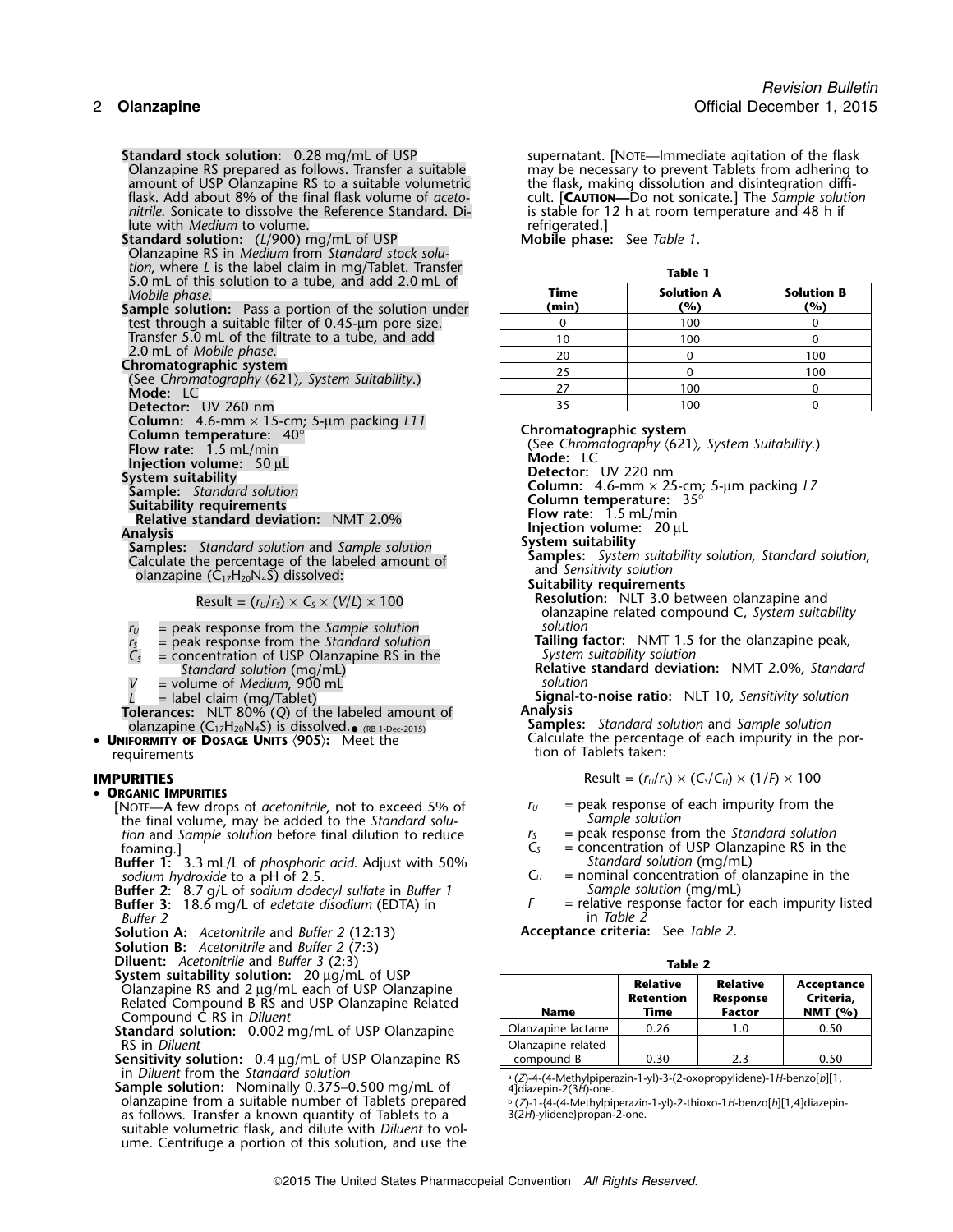**Standard stock solution:** 0.28 mg/mL of USP supernatant. [NOTE—Immediate agitation of the flask Olanzapine RS prepared as follows. Transfer a suitable may be necessary to prevent Tablets from adhering to Olanzapine RS prepared as follows. Transfer a suitable may be necessary to prevent Tablets from adhering to amount of USP Olanzapine RS to a suitable volumetric the flask, making dissolution and disintegration diffi-<br>flask. Add about 8% of the final flask volume of aceto-<br>cult. [**CAUTION—D**O not sonicate.] The Sample solution flask. Add about 8% of the final flask volume of *aceto-*<br> *nitrile*. Sonicate to dissolve the Reference Standard. Di-<br>
is stable for 12 h at room temperature and 48 h if *nitrile*. Sonicate to dissolve the Reference Standard. Di- is stable for 1<br>lute with *Medium* to volume.

lute with *Medium* to volume.<br> **Combine the Community of the Communisty of Communisty of Communisty Communisty of USP**<br> **Communisty Communisty Communisty Communisty Communisty Communisty Communisty Communisty Communisty Co Standard solution:** (L/900) mg/mL of USP Olanzapine RS in *Medium* from *Standard stock solution*, where *L* is the label claim in mg/Tablet. Transfer<br>5.0 mL of this solution to a tube, and add 2.0 mL of **Table 1 Table 1** 

- Detector: UV 260 nm
- **Column:** 4.6-mm × 15-cm; 5-µm packing *L11*

- 
- 

Sample: Standard solution<br>
Sample: Standard solution<br>
Relative standard deviation: NMT 2.0%<br>
Samples: Standard solution and Sample solution<br>
Calculate the percentage of the labeled amount of<br>
Calculate the percentage of t

$$
Result = (r_U/r_S) \times C_S \times (V/L) \times 100
$$

- *<sup>r</sup><sup>U</sup>* = peak response from the *Sample solution solution*
- 
- = concentration of USP Olanzapine RS in the *Standard solution* (mg/mL)
- *<sup>V</sup>* = volume of *Medium*, <sup>900</sup> mL *solution*
- 
- **Tolerances:** NLT 80% (*Q*) of the labeled amount of **Analysis**
- requirements the contract of the contract of the contract of Tablets taken:

### **IMPURITIES**

### • **ORGANIC IMPURITIES**

[NOTE—A few drops of *acetonitrile*, not to exceed 5% of  $r_U =$  peak response of each impurity from the the final volume. may be added to the *Standard solu*-<br>The final volume. may be added to the *Standard solu*the final volume, may be added to the *Standard solu- Sample solution tion* and *Sample solution* before final dilution to reduce *r<sub>S</sub>* = *c<sub>S</sub>* = *s* 

**Buffer 1:** 3.3 mL/L of *phosphoric acid*. Adjust with 50% *Sodium hydroxide* to a pH of 2.5.

- **Buffer 2:** 8.7 g/L of *sodium dodecyl sulfate* in *Buffer 1 Sample solution* (mg/mL) **Buffer 3:** 18.6 mg/L of *edetate disodium* (EDTA) in *Buffer 2*
- 
- **Solution A:** *Acetonitrile* and *Buffer 2* (12:13)
- **Solution B:** *Acetonitrile* and *Buffer 2* (7:3)
- **Diluent:** *Acetonitrile* and *Buffer 3* (2:3) **Table 2**
- **System suitability solution:** 20 µg/mL of USP Olanzapine RS and 2  $\mu$ g/mL each of USP Olanzapine<br>Related Compound B RS and USP Olanzapine Related<br>Compound C RS in *Diluent*<br>Standard solution: 0.002 mg/ml of USP Olanzapine

Standard solution: 0.002 mg/mL of USP Olanzapine **RS** in *Diluent* 

Sensitivity solution: 0.4 µg/mL of USP Olanzapine RS in *Diluent* from the *Standard solution* 

edial Differential Compless of the Standard Solution: Nominally 0.375–0.500 mg/mL of and aldiazepin-2(3*H*)-one.<br>Sample solution: Nominally 0.375–0.500 mg/mL of 4]diazepin-2(3*H*)-one.<br>Aldiazepin-2(3*H*)-one. as follows. Transfer a known quantity of Tablets to a suitable volumetric flask, and dilute with *Diluent* to volume. Centrifuge a portion of this solution, and use the

| 5.0 mL of this solution to a tube, and add 2.0 mL of<br>Mobile phase.                                 | Time  | <b>Solution A</b> | <b>Solution B</b> |
|-------------------------------------------------------------------------------------------------------|-------|-------------------|-------------------|
| <b>ample solution:</b> Pass a portion of the solution under                                           | (min) | (%)               | (%)               |
| test through a suitable filter of 0.45-µm pore size.                                                  |       | 100               |                   |
| Transfer 5.0 mL of the filtrate to a tube, and add                                                    |       | 100               |                   |
| 2.0 mL of Mobile phase.                                                                               | 20    |                   | 100               |
| hromatographic system<br>(See Chromatography $\langle 621 \rangle$ , System Suitability.)<br>Mode: LC |       |                   | 100               |
|                                                                                                       |       | 100               |                   |
| $\mathsf{Dot}$                                                                                        |       | 100               |                   |

Column temperature: 40°<br>
Chromatographic system<br>
Flow rate: 1.5 mL/min **Chromatography (62°**<br>
Mode: 1.5 mL/min Mode: 1.6 (See *Chromatography* 〈621〉*, System Suitability*.) **Flow rate:** 1.5 mL/min **Mode:** LC **Injection volume:**<sup>50</sup> <sup>µ</sup><sup>L</sup>

System suitability<br> **System suitability**<br> **Sample:** Standard solution<br> **Sample:** Standard solution<br> **Column:** 4.6-mm × 25° 5-µm packing L7

**Suitability requirements<br><b>Resolution:** NLT 3.0 between olanzapine and<br>**propellies** olanzapine related compound C, *System suitability* 

*r*<sub>s</sub> = peak response from the *Standard solution* **Tailing factor:** NMT 1.5 for the olanzapine peak,  $C_s$  = concentration of USP Olanzapine RS in the *System suitability solution* 

**Relative standard deviation:** NMT 2.0%, *Standard* solution

*<sup>L</sup>* = label claim (mg/Tablet) **Signal-to-noise ratio:** NLT 10, *Sensitivity solution*

olanzapine (C17H20N4S) is dissolved. **Samples:** *Standard solution* and *Sample solution* • (RB 1-Dec-2015) • **<sup>U</sup>NIFORMITY OF DOSAGE UNITS** 〈**905**〉**:** Meet the Calculate the percentage of each impurity in the por-

$$
Result = (r_U/r_S) \times (C_S/C_U) \times (1/F) \times 100
$$

- 
- 
- = concentration of USP Olanzapine RS in the Standard solution (mg/mL)
- *sodium hydroxide* to a pH of 2.5. *C<sub>U</sub> = nominal concentration of olanzapine in the*<br>**C**<sub>*U*</sub> = nominal concentration of olanzapine in the<br>**S***ample solution* (mg/mL)
	- *in Table 2*<br>2. **Acceptance criteria:** See *Table 2*

| Table 2                                 |                                             |                                                     |                                      |  |  |  |  |
|-----------------------------------------|---------------------------------------------|-----------------------------------------------------|--------------------------------------|--|--|--|--|
| Name                                    | <b>Relative</b><br><b>Retention</b><br>Time | <b>Relative</b><br><b>Response</b><br><b>Factor</b> | Acceptance<br>Criteria,<br>NMT $(%)$ |  |  |  |  |
| Dlanzapine lactamª                      | 0.26                                        | 1.0                                                 | 0.50                                 |  |  |  |  |
| Dlanzapine related<br>compound <b>P</b> | ሰ ጋሰ                                        | າ າ                                                 | ስ ደስ                                 |  |  |  |  |

<sup>b</sup>(Z)-1-{4-(4-Methylpiperazin-1-yl)-2-thioxo-1*H-*benzo[*b*][1,4]diazepin-3(2*H*)-ylidene}propan-2-one.